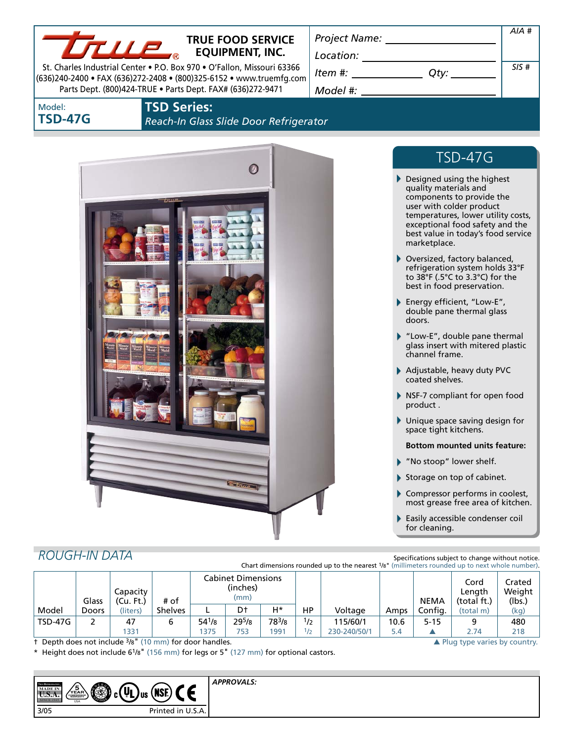

## **TRUE FOOD SERVICE EQUIPMENT, INC.**

St. Charles Industrial Center • P.O. Box 970 • O'Fallon, Missouri 63366 (636)240-2400 • FAX (636)272-2408 • (800)325-6152 • www.truemfg.com Parts Dept. (800)424-TRUE • Parts Dept. FAX# (636)272-9471

*Project Name: Location: Item #: Qty: Model #: SIS #*

Model: **TSD-47G**

### **TSD Series:**  *Reach-In Glass Slide Door Refrigerator*



# TSD-47G

*AIA #*

- Designed using the highest quality materials and components to provide the user with colder product temperatures, lower utility costs, exceptional food safety and the best value in today's food service marketplace.
- Oversized, factory balanced, refrigeration system holds 33°F to 38°F (.5°C to 3.3°C) for the best in food preservation.
- Energy efficient, "Low-E", double pane thermal glass doors.
- "Low-E", double pane thermal glass insert with mitered plastic channel frame.
- Adjustable, heavy duty PVC coated shelves.
- NSF-7 compliant for open food product .
- Unique space saving design for space tight kitchens.
	- **Bottom mounted units feature:**
- "No stoop" lower shelf.
- Storage on top of cabinet.
- Compressor performs in coolest, most grease free area of kitchen.
- Easily accessible condenser coil for cleaning.

# *ROUGH-IN DATA*

Specifications subject to change without notice. Chart dimensions rounded up to the nearest 1/8" (millimeters rounded up to next whole number).

|         | Glass | Capacity<br>(Cu, Ft) | # of           | Cabinet Dimensions<br>(inches)<br>(mm) |            |       |     |              |      | <b>NEMA</b> | Cord<br>Length<br>(total ft.) | Crated<br>Weight<br>(lbs.) |
|---------|-------|----------------------|----------------|----------------------------------------|------------|-------|-----|--------------|------|-------------|-------------------------------|----------------------------|
| Model   | Doors | (liters)             | <b>Shelves</b> |                                        | D†         | Н*    | HP  | Voltage      | Amps | Config.     | (total m)                     | (kg)                       |
| TSD-47G |       | 47                   | 6              | $54^{1}/8$                             | $29^{5}/8$ | 783/8 | 1/2 | 115/60/1     | 10.6 | $5 - 15$    |                               | 480                        |
|         |       | 1331                 |                | 375                                    | 753        | 1991  | 1/2 | 230-240/50/1 | 5.4  |             | 2.74                          | 218                        |

† Depth does not include 3/8" (10 mm) for door handles. ▲ Plug type varies by country.

Height does not include 6<sup>1</sup>/8" (156 mm) for legs or 5" (127 mm) for optional castors.